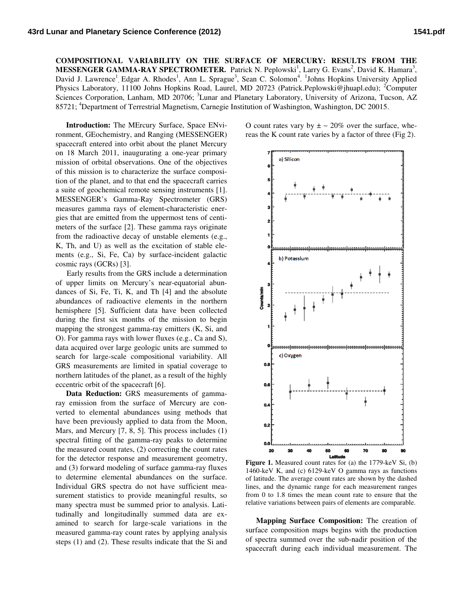**COMPOSITIONAL VARIABILITY ON THE SURFACE OF MERCURY: RESULTS FROM THE MESSENGER GAMMA-RAY SPECTROMETER.** Patrick N. Peplowski<sup>1</sup>, Larry G. Evans<sup>2</sup>, David K. Hamara<sup>3</sup>, David J. Lawrence<sup>1</sup>, Edgar A. Rhodes<sup>1</sup>, Ann L. Sprague<sup>3</sup>, Sean C. Solomon<sup>4</sup>. <sup>1</sup>Johns Hopkins University Applied Physics Laboratory, 11100 Johns Hopkins Road, Laurel, MD 20723 (Patrick.Peplowski@jhuapl.edu); <sup>2</sup>Computer Sciences Corporation, Lanham, MD 20706; <sup>3</sup>Lunar and Planetary Laboratory, University of Arizona, Tucson, AZ 85721; <sup>4</sup>Department of Terrestrial Magnetism, Carnegie Institution of Washington, Washington, DC 20015.

Introduction: The MErcury Surface, Space ENvironment, GEochemistry, and Ranging (MESSENGER) spacecraft entered into orbit about the planet Mercury on 18 March 2011, inaugurating a one-year primary mission of orbital observations. One of t mission of of the objectives of this mission is to characterize the surface composition of the planet, and to that end the spacecraft carries a suite of geochemical remote sensing instruments [1]. MESSENGER's Gamma-Ray Spectrometer (GRS) measures gamma rays of element-characteristic energies that are emitted from the uppermost tens of centimeters of the surface [2]. These gamma rays originate from the radioactive decay of unstable elements (e.g., K, Th, and U) as well as the excitation of stable elements (e.g., Si, Fe, Ca) by surface-incident galactic cosmic rays (GCRs) [3].

Early results from the GRS include a determination of upper limits on Mercury's near-equatorial abundances of Si, Fe, Ti, K, and Th  $[4]$  and the absolute abundances of radioactive elements in the northern northern hemisphere [5]. Sufficient data have been collected during the first six months of the mission to begin mapping the strongest gamma-ray emitters (K, Si, and O). For gamma rays with lower fluxes (e.g.,  $Ca$  and  $S$ ), data acquired over large geologic units are summed to search for large-scale compositional variability. All GRS measurements are limited in spatial coverage to northern latitudes of the planet, as a result of the highly eccentric orbit of the spacecraft [6].

Data Reduction: GRS measurements of gammaray emission from the surface of Mercury are converted to elemental abundances using methods that have been previously applied to data from the Moon, have been previously applied to data from the Moon, Mars, and Mercury [7, 8, 5]. This process includes (1) spectral fitting of the gamma-ray peaks to determine the measured count rates,  $(2)$  correcting the count rates for the detector response and measurement geometry, and (3) forward modeling of surface gamma-ray fluxes to determine elemental abundances on the surface. Individual GRS spectra do not have sufficient measurement statistics to provide meaningful results, so many spectra must be summed prior to analysis. Latitudinally and longitudinally summed data are e examined to search for large-scale variations in the measured gamma-ray count rates by applying analysis steps  $(1)$  and  $(2)$ . These results indicate that the Si and O count rates vary by  $\pm \sim 20\%$  over the surface, whereas the K count rate varies by a factor of three  $(Fig 2)$ .



**Figure 1.** Measured count rates for (a) the 1779-keV Si, (b) 1460-keV K, and (c) 6129-keV O gamma rays as functions of latitude. The average count rates are shown by the dashed lines, and the dynamic range for each measurement ranges from 0 to 1.8 times the mean count rate to ensure that the relative variations between pairs of elements are comparable. V K, and (c) 6129-keV O gamma rays as functions<br>de. The average count rates are shown by the dashed<br>ad the dynamic range for each measurement ranges<br>to 1.8 times the mean count rate to ensure that the

**Mapping Surface Composition:** The creation of surface composition maps begins with the production of spectra summed over the sub-nadir position of the spacecraft during each individual measurement. The